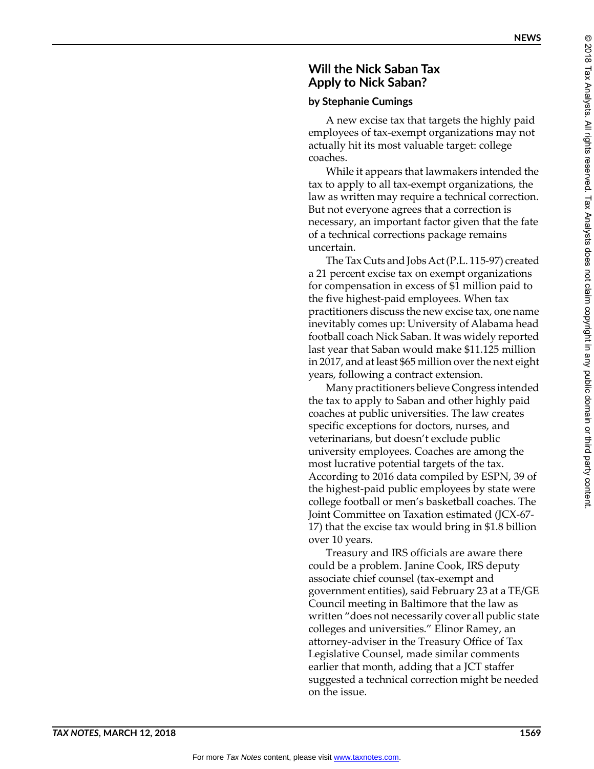## **Will the Nick Saban Tax Apply to Nick Saban?**

## **by Stephanie Cumings**

A new excise tax that targets the highly paid employees of tax-exempt organizations may not actually hit its most valuable target: college coaches.

While it appears that lawmakers intended the tax to apply to all tax-exempt organizations, the law as written may require a technical correction. But not everyone agrees that a correction is necessary, an important factor given that the fate of a technical corrections package remains uncertain.

The Tax Cuts and Jobs Act (P.L. 115-97) created a 21 percent excise tax on exempt organizations for compensation in excess of \$1 million paid to the five highest-paid employees. When tax practitioners discuss the new excise tax, one name inevitably comes up: University of Alabama head football coach Nick Saban. It was widely reported last year that Saban would make \$11.125 million in 2017, and at least \$65 million over the next eight years, following a contract extension.

Many practitioners believe Congress intended the tax to apply to Saban and other highly paid coaches at public universities. The law creates specific exceptions for doctors, nurses, and veterinarians, but doesn't exclude public university employees. Coaches are among the most lucrative potential targets of the tax. According to 2016 data compiled by ESPN, 39 of the highest-paid public employees by state were college football or men's basketball coaches. The Joint Committee on Taxation estimated (JCX-67- 17) that the excise tax would bring in \$1.8 billion over 10 years.

Treasury and IRS officials are aware there could be a problem. Janine Cook, IRS deputy associate chief counsel (tax-exempt and government entities), said February 23 at a TE/GE Council meeting in Baltimore that the law as written "does not necessarily cover all public state colleges and universities." Elinor Ramey, an attorney-adviser in the Treasury Office of Tax Legislative Counsel, made similar comments earlier that month, adding that a JCT staffer suggested a technical correction might be needed on the issue.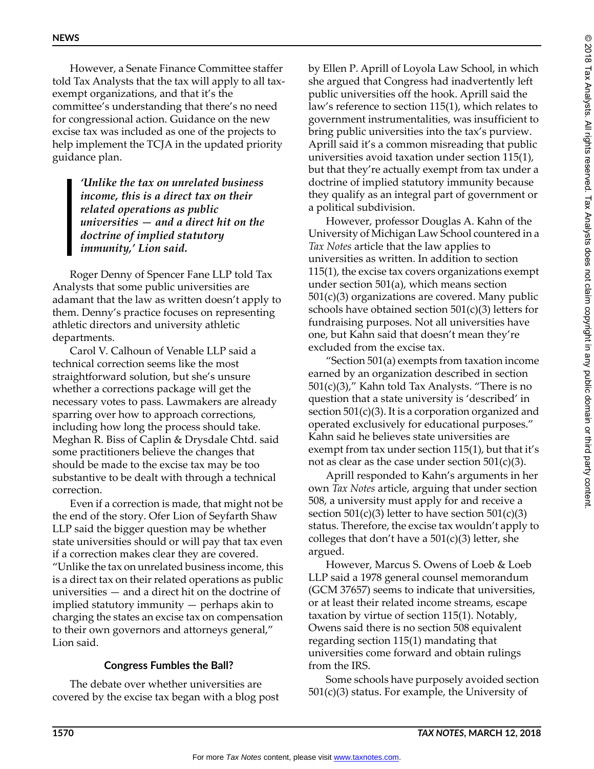However, a Senate Finance Committee staffer told Tax Analysts that the tax will apply to all taxexempt organizations, and that it's the committee's understanding that there's no need for congressional action. Guidance on the new excise tax was included as one of the projects to help implement the TCJA in the updated priority guidance plan.

> *'Unlike the tax on unrelated business income, this is a direct tax on their related operations as public universities — and a direct hit on the doctrine of implied statutory immunity,' Lion said.*

Roger Denny of Spencer Fane LLP told Tax Analysts that some public universities are adamant that the law as written doesn't apply to them. Denny's practice focuses on representing athletic directors and university athletic departments.

Carol V. Calhoun of Venable LLP said a technical correction seems like the most straightforward solution, but she's unsure whether a corrections package will get the necessary votes to pass. Lawmakers are already sparring over how to approach corrections, including how long the process should take. Meghan R. Biss of Caplin & Drysdale Chtd. said some practitioners believe the changes that should be made to the excise tax may be too substantive to be dealt with through a technical correction.

Even if a correction is made, that might not be the end of the story. Ofer Lion of Seyfarth Shaw LLP said the bigger question may be whether state universities should or will pay that tax even if a correction makes clear they are covered. "Unlike the tax on unrelated business income, this is a direct tax on their related operations as public universities — and a direct hit on the doctrine of implied statutory immunity — perhaps akin to charging the states an excise tax on compensation to their own governors and attorneys general," Lion said.

## **Congress Fumbles the Ball?**

The debate over whether universities are covered by the excise tax began with a blog post

by Ellen P. Aprill of Loyola Law School, in which she argued that Congress had inadvertently left public universities off the hook. Aprill said the law's reference to section 115(1), which relates to government instrumentalities, was insufficient to bring public universities into the tax's purview. Aprill said it's a common misreading that public universities avoid taxation under section 115(1), but that they're actually exempt from tax under a doctrine of implied statutory immunity because they qualify as an integral part of government or a political subdivision.

However, professor Douglas A. Kahn of the University of Michigan Law School countered in a *Tax Notes* article that the law applies to universities as written. In addition to section 115(1), the excise tax covers organizations exempt under section 501(a), which means section 501(c)(3) organizations are covered. Many public schools have obtained section 501(c)(3) letters for fundraising purposes. Not all universities have one, but Kahn said that doesn't mean they're excluded from the excise tax.

"Section 501(a) exempts from taxation income earned by an organization described in section 501(c)(3)," Kahn told Tax Analysts. "There is no question that a state university is 'described' in section  $501(c)(3)$ . It is a corporation organized and operated exclusively for educational purposes." Kahn said he believes state universities are exempt from tax under section 115(1), but that it's not as clear as the case under section  $501(c)(3)$ .

Aprill responded to Kahn's arguments in her own *Tax Notes* article, arguing that under section 508, a university must apply for and receive a section  $501(c)(3)$  letter to have section  $501(c)(3)$ status. Therefore, the excise tax wouldn't apply to colleges that don't have a  $501(c)(3)$  letter, she argued.

However, Marcus S. Owens of Loeb & Loeb LLP said a 1978 general counsel memorandum (GCM 37657) seems to indicate that universities, or at least their related income streams, escape taxation by virtue of section 115(1). Notably, Owens said there is no section 508 equivalent regarding section 115(1) mandating that universities come forward and obtain rulings from the IRS.

Some schools have purposely avoided section  $501(c)(3)$  status. For example, the University of